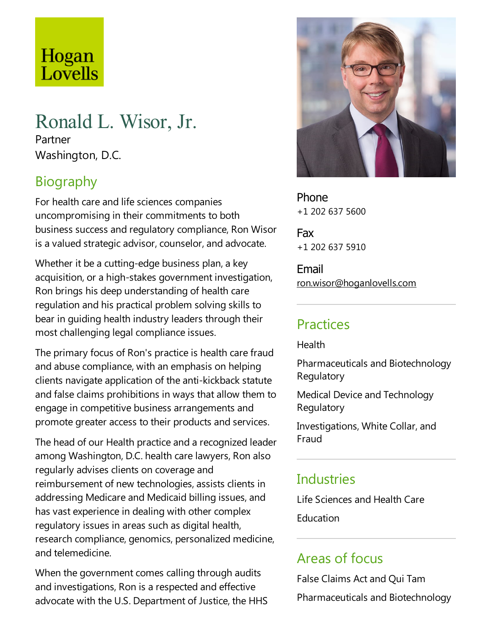# Hogan Lovells

## Ronald L. Wisor, Jr.

Partner Washington, D.C.

### **Biography**

For health care and life sciences companies uncompromising in their commitments to both business success and regulatory compliance, Ron Wisor is a valued strategic advisor, counselor, and advocate.

Whether it be a cutting-edge business plan, a key acquisition, or a high-stakes government investigation, Ron brings his deep understanding of health care regulation and his practical problem solving skills to bear in guiding health industry leaders through their most challenging legal compliance issues.

The primary focus of Ron's practice is health care fraud and abuse compliance, with an emphasis on helping clients navigate application of the anti-kickback statute and false claims prohibitions in ways that allow them to engage in competitive business arrangements and promote greater access to their products and services.

The head of our Health practice and a recognized leader among Washington, D.C. health care lawyers, Ron also regularly advises clients on coverage and reimbursement of new technologies, assists clients in addressing Medicare and Medicaid billing issues, and has vast experience in dealing with other complex regulatory issues in areas such as digital health, research compliance, genomics, personalized medicine, and telemedicine.

When the government comes calling through audits and investigations, Ron is arespected and effective advocate with the U.S. Department of Justice, the HHS



Phone +1 202 637 5600

Fax +1 202 637 5910

Email ron.wisor@hoganlovells.com

#### **Practices**

Health

Pharmaceuticals and Biotechnology Regulatory

Medical Device and Technology **Regulatory** 

Investigations, White Collar, and Fraud

#### **Industries**

Life Sciences and Health Care **Education** 

#### Areas of focus

False Claims Act and Qui Tam Pharmaceuticals and Biotechnology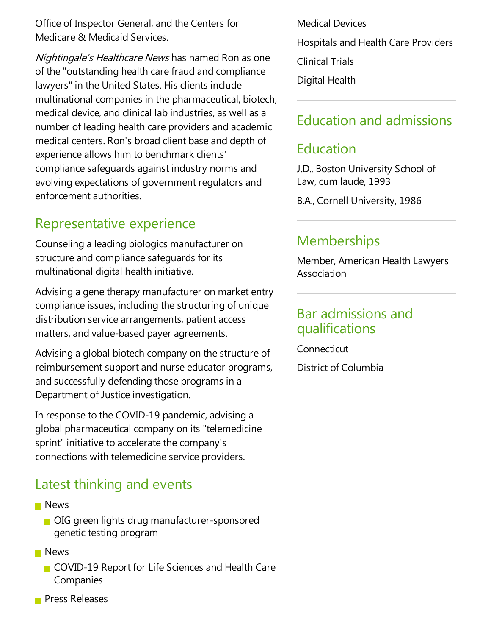Office of Inspector General, and the Centers for Medicare & Medicaid Services.

Nightingale's Healthcare News has named Ron as one of the "outstanding health care fraud and compliance lawyers" in the United States. His clients include multinational companies in the pharmaceutical, biotech, medical device,and clinical lab industries,as well as a number of leading health care providers and academic medical centers. Ron's broad client base and depth of experience allows him to benchmark clients' compliance safeguards against industry norms and evolving expectations of government regulators and enforcement authorities.

#### Representative experience

Counseling aleading biologics manufacturer on structure and compliance safeguards for its multinational digital health initiative.

Advising a gene therapy manufacturer on market entry compliance issues, including the structuring of unique distribution service arrangements, patient access matters, and value-based payer agreements.

Advising a global biotech company on the structure of reimbursement support and nurse educator programs, and successfully defending those programs in a Department of Justice investigation.

In response to the COVID-19 pandemic, advising a global pharmaceutical company on its "telemedicine sprint" initiative to accelerate the company's connections with telemedicine service providers.

#### Latest thinking and events

- **News** 
	- OIG green lights drug manufacturer-sponsored genetic testing program
- **News** 
	- COVID-19 Report for Life Sciences and Health Care Companies
- **Press Releases**

Medical Devices Hospitals and Health Care Providers **Clinical Trials** Digital Health

#### Education and admissions

#### Education

J.D., Boston University School of Law, cum laude, 1993

B.A., Cornell University, 1986

#### **Memberships**

Member, American Health Lawyers Association

#### Bar admissions and qualifications

Connecticut

District of Columbia